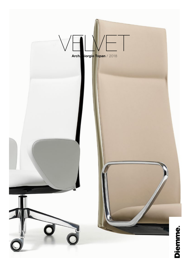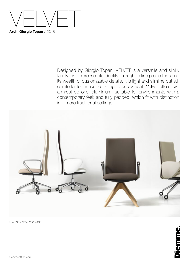

Designed by Giorgio Topan, VELVET is a versatile and slinky family that expresses its identity through its fine profile lines and its wealth of customizable details. It is light and slimline but still comfortable thanks to its high density seat. Velvet offers two armrest options: aluminium, suitable for environments with a contemporary feel; and fully padded, which fit with distinction into more traditional settings.



Ikon 330 - 130 - 230 - 430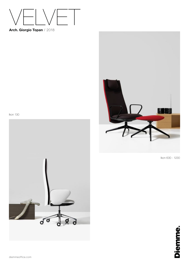

**Arch. Giorgio Topan** / 2018







Ikon 630 - 1230